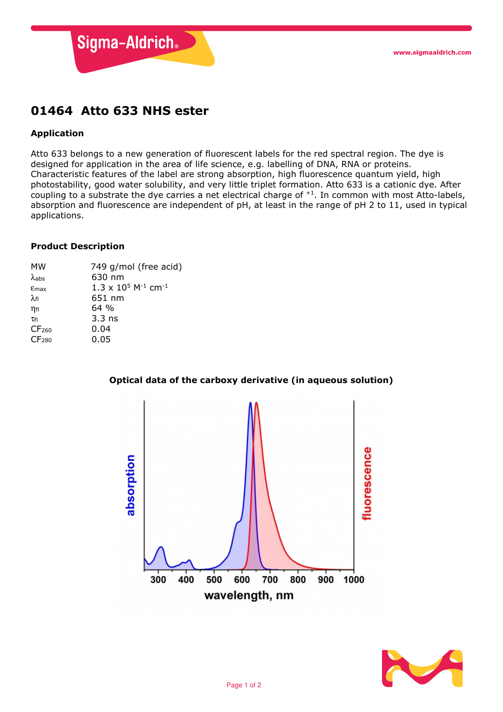

# 01464 Atto 633 NHS ester

# Application

Atto 633 belongs to a new generation of fluorescent labels for the red spectral region. The dye is designed for application in the area of life science, e.g. labelling of DNA, RNA or proteins. Characteristic features of the label are strong absorption, high fluorescence quantum yield, high photostability, good water solubility, and very little triplet formation. Atto 633 is a cationic dye. After coupling to a substrate the dye carries a net electrical charge of +1. In common with most Atto-labels, absorption and fluorescence are independent of pH, at least in the range of pH 2 to 11, used in typical applications.

### Product Description

| МW                 | 749 g/mol (free acid)                              |
|--------------------|----------------------------------------------------|
| $\lambda$ abs      | 630 nm                                             |
| $E$ max            | $1.3 \times 10^5$ M <sup>-1</sup> cm <sup>-1</sup> |
| $\lambda_{\sf fl}$ | 651 nm                                             |
| $\eta$ fl          | 64%                                                |
| Tfl                | $3.3$ ns                                           |
| CF <sub>260</sub>  | 0.04                                               |
| CF <sub>280</sub>  | 0.05                                               |



## Optical data of the carboxy derivative (in aqueous solution)